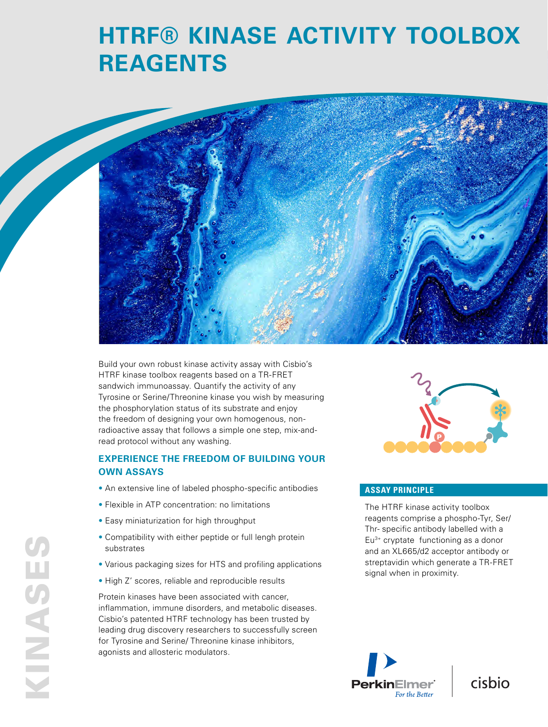# **HTRF® KINASE ACTIVITY TOOLBOX REAGENTS**



Build your own robust kinase activity assay with Cisbio's HTRF kinase toolbox reagents based on a TR-FRET sandwich immunoassay. Quantify the activity of any Tyrosine or Serine/Threonine kinase you wish by measuring the phosphorylation status of its substrate and enjoy the freedom of designing your own homogenous, nonradioactive assay that follows a simple one step, mix-andread protocol without any washing.

## **EXPERIENCE THE FREEDOM OF BUILDING YOUR OWN ASSAYS**

- An extensive line of labeled phospho-specific antibodies
- Flexible in ATP concentration: no limitations
- Easy miniaturization for high throughput
- Compatibility with either peptide or full lengh protein substrates
- Various packaging sizes for HTS and profiling applications
- High Z' scores, reliable and reproducible results

Protein kinases have been associated with cancer, inflammation, immune disorders, and metabolic diseases. Cisbio's patented HTRF technology has been trusted by leading drug discovery researchers to successfully screen for Tyrosine and Serine/ Threonine kinase inhibitors, agonists and allosteric modulators.



#### **ASSAY PRINCIPLE**

The HTRF kinase activity toolbox reagents comprise a phospho-Tyr, Ser/ Thr- specific antibody labelled with a Eu3+ cryptate functioning as a donor and an XL665/d2 acceptor antibody or streptavidin which generate a TR-FRET signal when in proximity.

cisbio